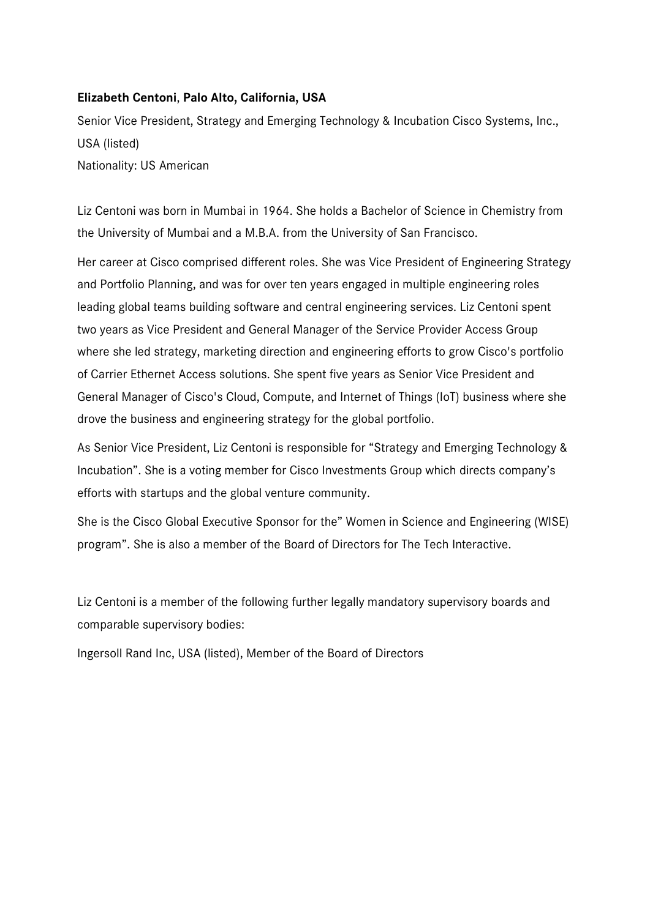## **Elizabeth Centoni**, **Palo Alto, California, USA**

Senior Vice President, Strategy and Emerging Technology & Incubation Cisco Systems, Inc., USA (listed) Nationality: US American

Liz Centoni was born in Mumbai in 1964. She holds a Bachelor of Science in Chemistry from the University of Mumbai and a M.B.A. from the University of San Francisco.

Her career at Cisco comprised different roles. She was Vice President of Engineering Strategy and Portfolio Planning, and was for over ten years engaged in multiple engineering roles leading global teams building software and central engineering services. Liz Centoni spent two years as Vice President and General Manager of the Service Provider Access Group where she led strategy, marketing direction and engineering efforts to grow Cisco's portfolio of Carrier Ethernet Access solutions. She spent five years as Senior Vice President and General Manager of Cisco's Cloud, Compute, and Internet of Things (IoT) business where she drove the business and engineering strategy for the global portfolio.

As Senior Vice President, Liz Centoni is responsible for "Strategy and Emerging Technology & Incubation". She is a voting member for Cisco Investments Group which directs company's efforts with startups and the global venture community.

She is the Cisco Global Executive Sponsor for the" Women in Science and Engineering (WISE) program". She is also a member of the Board of Directors for The Tech Interactive.

Liz Centoni is a member of the following further legally mandatory supervisory boards and comparable supervisory bodies:

Ingersoll Rand Inc, USA (listed), Member of the Board of Directors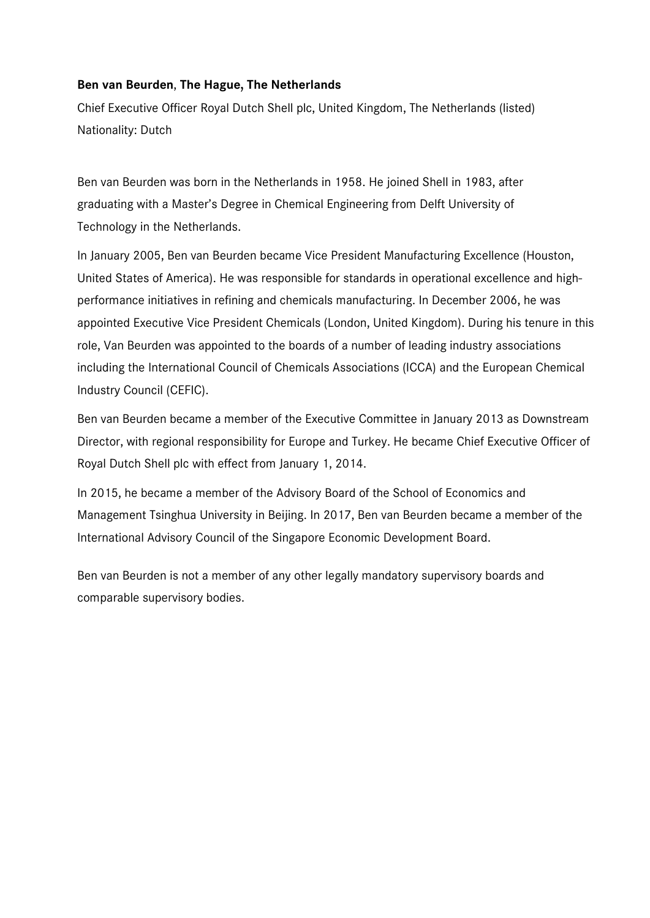## **Ben van Beurden**, **The Hague, The Netherlands**

Chief Executive Officer Royal Dutch Shell plc, United Kingdom, The Netherlands (listed) Nationality: Dutch

Ben van Beurden was born in the Netherlands in 1958. He joined Shell in 1983, after graduating with a Master's Degree in Chemical Engineering from Delft University of Technology in the Netherlands.

In January 2005, Ben van Beurden became Vice President Manufacturing Excellence (Houston, United States of America). He was responsible for standards in operational excellence and highperformance initiatives in refining and chemicals manufacturing. In December 2006, he was appointed Executive Vice President Chemicals (London, United Kingdom). During his tenure in this role, Van Beurden was appointed to the boards of a number of leading industry associations including the International Council of Chemicals Associations (ICCA) and the European Chemical Industry Council (CEFIC).

Ben van Beurden became a member of the Executive Committee in January 2013 as Downstream Director, with regional responsibility for Europe and Turkey. He became Chief Executive Officer of Royal Dutch Shell plc with effect from January 1, 2014.

In 2015, he became a member of the Advisory Board of the School of Economics and Management Tsinghua University in Beijing. In 2017, Ben van Beurden became a member of the International Advisory Council of the Singapore Economic Development Board.

Ben van Beurden is not a member of any other legally mandatory supervisory boards and comparable supervisory bodies.